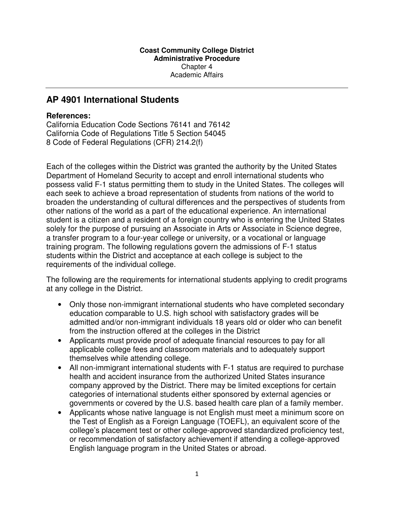## **AP 4901 International Students**

## **References:**

California Education Code Sections 76141 and 76142 California Code of Regulations Title 5 Section 54045 8 Code of Federal Regulations (CFR) 214.2(f)

Each of the colleges within the District was granted the authority by the United States Department of Homeland Security to accept and enroll international students who possess valid F-1 status permitting them to study in the United States. The colleges will each seek to achieve a broad representation of students from nations of the world to broaden the understanding of cultural differences and the perspectives of students from other nations of the world as a part of the educational experience. An international student is a citizen and a resident of a foreign country who is entering the United States solely for the purpose of pursuing an Associate in Arts or Associate in Science degree, a transfer program to a four-year college or university, or a vocational or language training program. The following regulations govern the admissions of F-1 status students within the District and acceptance at each college is subject to the requirements of the individual college.

The following are the requirements for international students applying to credit programs at any college in the District.

- Only those non-immigrant international students who have completed secondary education comparable to U.S. high school with satisfactory grades will be admitted and/or non-immigrant individuals 18 years old or older who can benefit from the instruction offered at the colleges in the District
- Applicants must provide proof of adequate financial resources to pay for all applicable college fees and classroom materials and to adequately support themselves while attending college.
- All non-immigrant international students with F-1 status are required to purchase health and accident insurance from the authorized United States insurance company approved by the District. There may be limited exceptions for certain categories of international students either sponsored by external agencies or governments or covered by the U.S. based health care plan of a family member.
- Applicants whose native language is not English must meet a minimum score on the Test of English as a Foreign Language (TOEFL), an equivalent score of the college's placement test or other college-approved standardized proficiency test, or recommendation of satisfactory achievement if attending a college-approved English language program in the United States or abroad.